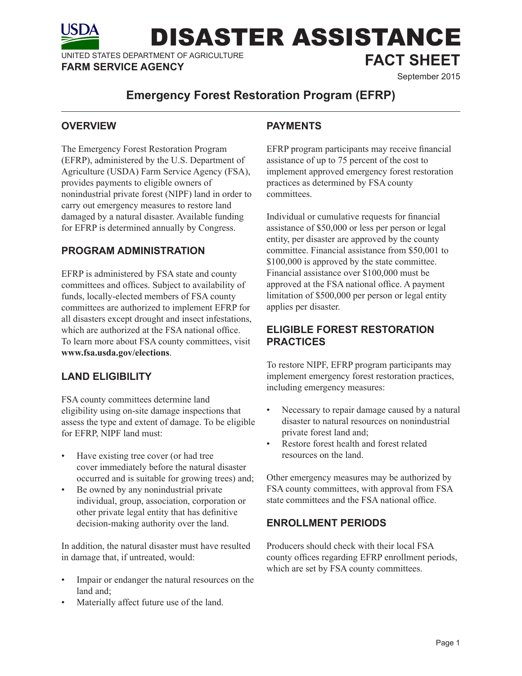UNITED STATES DEPARTMENT OF AGRICULTURE UNITED STATES DEPARTMENT OF AGRICULTURE<br>**FARM SERVICE AGENCY** September 2015

# **Emergency Forest Restoration Program (EFRP)**

### **OVERVIEW**

The Emergency Forest Restoration Program (EFRP), administered by the U.S. Department of Agriculture (USDA) Farm Service Agency (FSA), provides payments to eligible owners of nonindustrial private forest (NIPF) land in order to carry out emergency measures to restore land damaged by a natural disaster. Available funding for EFRP is determined annually by Congress.

## **PROGRAM ADMINISTRATION**

EFRP is administered by FSA state and county committees and offices. Subject to availability of funds, locally-elected members of FSA county committees are authorized to implement EFRP for all disasters except drought and insect infestations, which are authorized at the FSA national office. To learn more about FSA county committees, visit **www.fsa.usda.gov/elections**.

# **LAND ELIGIBILITY**

FSA county committees determine land eligibility using on-site damage inspections that assess the type and extent of damage. To be eligible for EFRP, NIPF land must:

- Have existing tree cover (or had tree cover immediately before the natural disaster occurred and is suitable for growing trees) and;
- Be owned by any nonindustrial private individual, group, association, corporation or other private legal entity that has definitive decision-making authority over the land.

In addition, the natural disaster must have resulted in damage that, if untreated, would:

- Impair or endanger the natural resources on the land and:
- Materially affect future use of the land.

# **PAYMENTS**

DISASTER ASSISTANCE

EFRP program participants may receive financial assistance of up to 75 percent of the cost to implement approved emergency forest restoration practices as determined by FSA county committees.

Individual or cumulative requests for financial assistance of \$50,000 or less per person or legal entity, per disaster are approved by the county committee. Financial assistance from \$50,001 to \$100,000 is approved by the state committee. Financial assistance over \$100,000 must be approved at the FSA national office. A payment limitation of \$500,000 per person or legal entity applies per disaster.

# **ELIGIBLE FOREST RESTORATION PRACTICES**

To restore NIPF, EFRP program participants may implement emergency forest restoration practices, including emergency measures:

- Necessary to repair damage caused by a natural disaster to natural resources on nonindustrial private forest land and;
- Restore forest health and forest related resources on the land.

Other emergency measures may be authorized by FSA county committees, with approval from FSA state committees and the FSA national office.

#### **ENROLLMENT PERIODS**

Producers should check with their local FSA county offices regarding EFRP enrollment periods, which are set by FSA county committees.